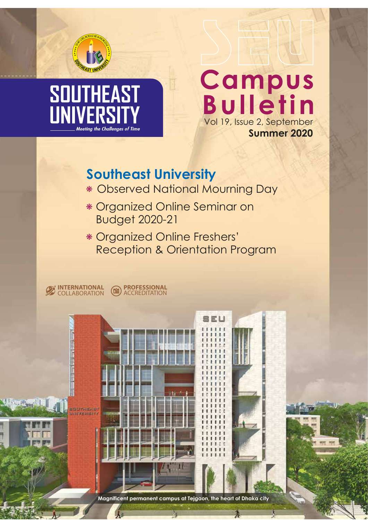

# **SOUTHEAST UNIVER** Meetina the Challenaes of Time

# **Campus<br>Bulletin** Vol 19, Issue 2, September **Summer 2020**

# **Southeast University**

- Observed National Mourning Day
- Organized Online Seminar on Budget 2020-21
- Organized Online Freshers' Reception & Orientation Program

EU

**INTERNATIONAL** COLLABORATION **B** ACCREDITATION **PROFESSIONAL**

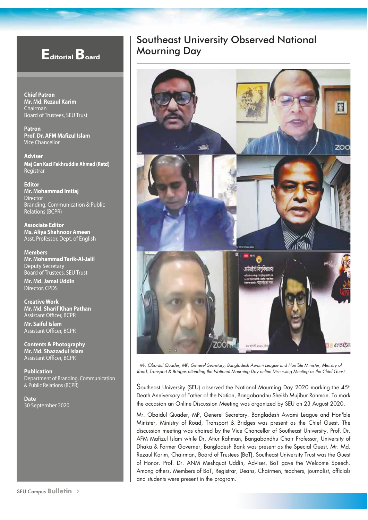## **Editorial Board**

**Chief Patron Mr. Md. Rezaul Karim**  Chairman Board of Trustees, SEU Trust

**Patron Prof. Dr. AFM Mafizul Islam** Vice Chancellor

**Adviser Maj Gen Kazi Fakhruddin Ahmed (Retd)** Registrar

**Editor Mr. Mohammad Imtiaj** Director Branding, Communication & Public Relations (BCPR)

**Associate Editor Ms. Aliya Shahnoor Ameen** Asst. Professor, Dept. of English

**Members Mr. Mohammad Tarik-Al-Jalil** Deputy Secretary Board of Trustees, SEU Trust **Mr. Md. Jamal Uddin**  Director, CPDS

**Creative Work Mr. Md. Sharif Khan Pathan** Assistant Officer, BCPR **Mr. Saiful Islam** Assistant Officer, BCPR

**Contents & Photography Mr. Md. Shazzadul Islam** Assistant Officer, BCPR

**Publication** Department of Branding, Communication & Public Relations (BCPR)

**Date** 30 September 2020

#### Southeast University Observed National Mourning Day



Mr. Obaidul Quader, MP, Generel Secretary, Bangladesh Awami League and Hon'ble Minister, Ministry of Road, Transport & Bridges attending the National Mourning Day online Discussing Meeting as the Chief Guest

Southeast University (SEU) observed the National Mourning Day 2020 marking the 45<sup>th</sup> Death Anniversary of Father of the Nation, Bangabandhu Sheikh Mujibur Rahman. To mark the occasion an Online Discussion Meeting was organized by SEU on 23 August 2020.

Mr. Obaidul Quader, MP, Generel Secretary, Bangladesh Awami League and Hon'ble Minister, Ministry of Road, Transport & Bridges was present as the Chief Guest. The discussion meeting was chaired by the Vice Chancellor of Southeast University, Prof. Dr. AFM Mafizul Islam while Dr. Atiur Rahman, Bangabandhu Chair Professor, University of Dhaka & Former Governer, Bangladesh Bank was present as the Special Guest. Mr. Md. Rezaul Karim, Chairman, Board of Trustees (BoT), Southeast University Trust was the Guest of Honor. Prof. Dr. ANM Meshquat Uddin, Adviser, BoT gave the Welcome Speech. Among others, Members of BoT, Registrar, Deans, Chairmen, teachers, journalist, officials and students were present in the program.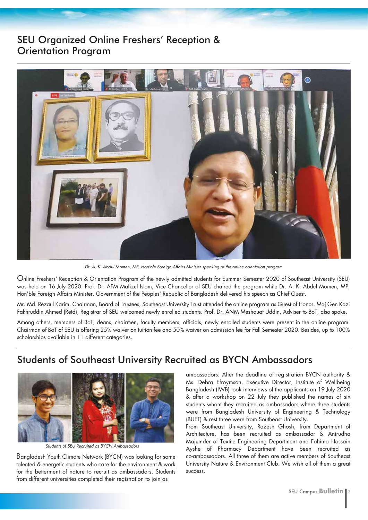#### SEU Organized Online Freshers' Reception & Orientation Program



Dr. A. K. Abdul Momen, MP, Hon'ble Foreign Affairs Minister speaking at the online orientation program

Online Freshers' Reception & Orientation Program of the newly admitted students for Summer Semester 2020 of Southeast University (SEU) was held on 16 July 2020. Prof. Dr. AFM Mafizul Islam, Vice Chancellor of SEU chaired the program while Dr. A. K. Abdul Momen, MP, Hon'ble Foreign Affairs Minister, Government of the Peoples' Republic of Bangladesh delivered his speech as Chief Guest.

Mr. Md. Rezaul Karim, Chairman, Board of Trustees, Southeast University Trust attended the online program as Guest of Honor. Maj Gen Kazi Fakhruddin Ahmed (Retd), Registrar of SEU welcomed newly enrolled students. Prof. Dr. ANM Meshquat Uddin, Adviser to BoT, also spoke.

Among others, members of BoT, deans, chairmen, faculty members, officials, newly enrolled students were present in the online program. Chairman of BoT of SEU is offering 25% waiver on tuition fee and 50% waiver on admission fee for Fall Semester 2020. Besides, up to 100% scholarships available in 11 different categories.

### Students of Southeast University Recruited as BYCN Ambassadors



Students of SEU Recruited as BYCN Ambassadors

Bangladesh Youth Climate Network (BYCN) was looking for some talented & energetic students who care for the environment & work for the betterment of nature to recruit as ambassadors. Students from different universities completed their registration to join as

ambassadors. After the deadline of registration BYCN authority & Ms. Debra Efroymson, Executive Director, Institute of Wellbeing Bangladesh (IWB) took interviews of the applicants on 19 July 2020 & after a workshop on 22 July they published the names of six students whom they recruited as ambassadors where three students were from Bangladesh University of Engineering & Technology (BUET) & rest three were from Southeast University.

From Southeast University, Razesh Ghosh, from Department of Architecture, has been recruited as ambassador & Anirudha Majumder of Textile Engineering Department and Fahima Hossain Ayshe of Pharmacy Department have been recruited as co-ambassadors. All three of them are active members of Southeast University Nature & Environment Club. We wish all of them a great success.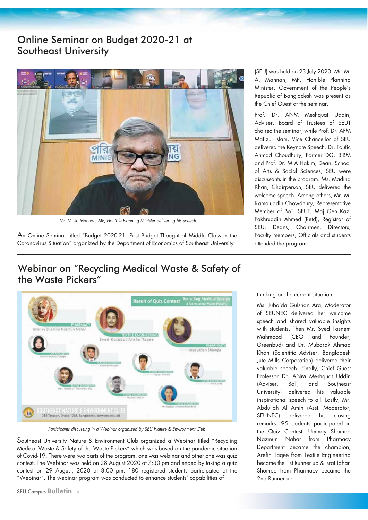#### Online Seminar on Budget 2020-21 at Southeast University



Mr. M. A. Mannan, MP, Hon'ble Planning Minister delivering his speech

An Online Seminar titled "Budget 2020-21: Post Budget Thought of Middle Class in the Coronavirus Situation" organized by the Department of Economics of Southeast University

(SEU) was held on 23 July 2020. Mr. M. A. Mannan, MP, Hon'ble Planning Minister, Government of the People's Republic of Bangladesh was present as the Chief Guest at the seminar.

Prof. Dr. ANM Meshquat Uddin, Adviser, Board of Trustees of SEUT chaired the seminar, while Prof. Dr. AFM Mafizul Islam, Vice Chancellor of SEU delivered the Keynote Speech. Dr. Toufic Ahmad Choudhury, Former DG, BIBM and Prof. Dr. M A Hakim, Dean, School of Arts & Social Sciences, SEU were discussants in the program. Ms. Madiha Khan, Chairperson, SEU delivered the welcome speech. Among others, Mr. M. Kamaluddin Chowdhury, Representative Member of BoT, SEUT, Maj Gen Kazi Fakhruddin Ahmed (Retd), Registrar of SEU, Deans, Chairmen, Directors, Faculty members, Officials and students attended the program.

#### Webinar on "Recycling Medical Waste & Safety of the Waste Pickers"



Participants discussing in a Webinar organized by SEU Nature & Environment Club

Southeast University Nature & Environment Club organized a Webinar titled "Recycling Medical Waste & Safety of the Waste Pickers" which was based on the pandemic situation of Covid-19. There were two parts of the program, one was webinar and other one was quiz contest. The Webinar was held on 28 August 2020 at 7:30 pm and ended by taking a quiz contest on 29 August, 2020 at 8:00 pm. 180 registered students participated at the "Webinar". The webinar program was conducted to enhance students' capabilities of

SEU Campus **Bulletin** 4

thinking on the current situation.

Ms. Jubaida Gulshan Ara, Moderator of SEUNEC delivered her welcome speech and shared valuable insights with students. Then Mr. Syed Tasnem Mahmood (CEO and Founder, Greenbud) and Dr. Mubarak Ahmad Khan (Scientific Adviser, Bangladesh Jute Mills Corporation) delivered their valuable speech. Finally, Chief Guest Professor Dr. ANM Meshquat Uddin (Adviser, BoT, and Southeast University) delivered his valuable inspirational speech to all. Lastly, Mr. Abdullah Al Amin (Asst. Moderator, SEUNEC) delivered his closing remarks. 95 students participated in the Quiz Contest. Ummay Shamira Nazmun Nahar from Pharmacy Department became the champion, Arefin Taqee from Textile Engineering became the 1st Runner up & Israt Jahan Shompa from Pharmacy became the 2nd Runner up.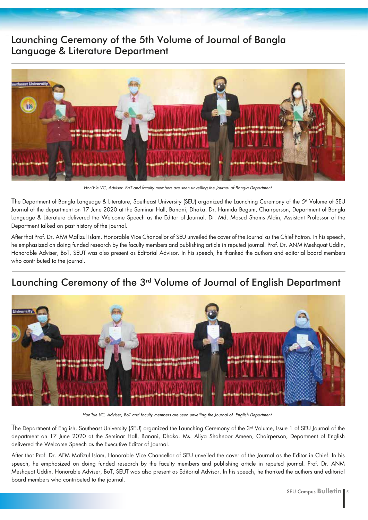### Launching Ceremony of the 5th Volume of Journal of Bangla Language & Literature Department



Hon'ble VC, Adviser, BoT and faculty members are seen unveiling the Journal of Bangla Department

The Department of Bangla Language & Literature, Southeast University (SEU) organized the Launching Ceremony of the 5<sup>th</sup> Volume of SEU Journal of the department on 17 June 2020 at the Seminar Hall, Banani, Dhaka. Dr. Hamida Begum, Chairperson, Department of Bangla Language & Literature delivered the Welcome Speech as the Editor of Journal. Dr. Md. Masud Shams Aldin, Assistant Professor of the Department talked on past history of the journal.

After that Prof. Dr. AFM Mafizul Islam, Honorable Vice Chancellor of SEU unveiled the cover of the Journal as the Chief Patron. In his speech, he emphasized on doing funded research by the faculty members and publishing article in reputed journal. Prof. Dr. ANM Meshquat Uddin, Honorable Adviser, BoT, SEUT was also present as Editorial Advisor. In his speech, he thanked the authors and editorial board members who contributed to the journal.

## Launching Ceremony of the 3rd Volume of Journal of English Department



Hon'ble VC, Adviser, BoT and faculty members are seen unveiling the Journal of English Department

The Department of English, Southeast University (SEU) organized the Launching Ceremony of the 3<sup>rd</sup> Volume, Issue 1 of SEU Journal of the department on 17 June 2020 at the Seminar Hall, Banani, Dhaka. Ms. Aliya Shahnoor Ameen, Chairperson, Department of English delivered the Welcome Speech as the Executive Editor of Journal.

After that Prof. Dr. AFM Mafizul Islam, Honorable Vice Chancellor of SEU unveiled the cover of the Journal as the Editor in Chief. In his speech, he emphasized on doing funded research by the faculty members and publishing article in reputed journal. Prof. Dr. ANM Meshquat Uddin, Honorable Adviser, BoT, SEUT was also present as Editorial Advisor. In his speech, he thanked the authors and editorial board members who contributed to the journal.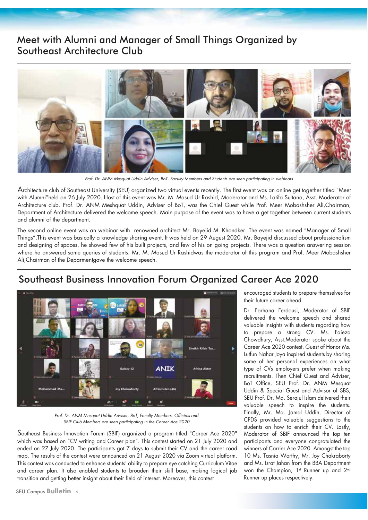#### Meet with Alumni and Manager of Small Things Organized by Southeast Architecture Club



Prof. Dr. ANM Mesquat Uddin Adviser, BoT, Faculty Members and Students are seen participating in webinars

Architecture club of Southeast University (SEU) organized two virtual events recently. The first event was an online get together titled "Meet with Alumni"held on 26 July 2020. Host of this event was Mr. M. Masud Ur Rashid, Moderator and Ms. Latifa Sultana, Asst. Moderator of Architecture club. Prof. Dr. ANM Meshquat Uddin, Adviser of BoT, was the Chief Guest while Prof. Meer Mobashsher Ali,Chairman, Department of Architecture delivered the welcome speech. Main purpose of the event was to have a get together between current students and alumni of the department.

The second online event was an webinar with renowned architect Mr. Bayejid M. Khondker. The event was named "Manager of Small Things".This event was basically a knowledge sharing event. It was held on 29 August 2020. Mr. Bayejid discussed about professionalism and designing of spaces, he showed few of his built projects, and few of his on going projects. There was a question answering session where he answered some queries of students. Mr. M. Masud Ur Rashidwas the moderator of this program and Prof. Meer Mobashsher Ali,Chairman of the Deparmentgave the welcome speech.

## Southeast Business Innovation Forum Organized Career Ace 2020



Prof. Dr. ANM Mesquat Uddin Adviser, BoT, Faculty Members, Officials and SBIF Club Members are seen participating in the Career Ace 2020

Southeast Business Innovation Forum (SBIF) organized a program titled "Career Ace 2020" which was based on "CV writing and Career plan". This contest started on 21 July 2020 and ended on 27 July 2020. The participants got 7 days to submit their CV and the career road map. The results of the contest were announced on 21 August 2020 via Zoom virtual platform. This contest was conducted to enhance students' ability to prepare eye catching Curriculum Vitae and career plan. It also enabled students to broaden their skill base, making logical job transition and getting better insight about their field of interest. Moreover, this contest

**SEU Campus Bulletin**  $\|$  6

encouraged students to prepare themselves for their future career ahead.

Dr. Farhana Ferdousi, Moderator of SBIF delivered the welcome speech and shared valuable insights with students regarding how to prepare a strong CV. Ms. Faieza Chowdhury, Asst.Moderator spoke about the Career Ace 2020 contest. Guest of Honor Ms. Lutfun Nahar Joya inspired students by sharing some of her personal experiences on what type of CVs employers prefer when making recruitments. Then Chief Guest and Adviser, BoT Office, SEU Prof. Dr. ANM Mesquat Uddin & Special Guest and Advisor of SBS, SEU Prof. Dr. Md. Serajul Islam delivered their valuable speech to inspire the students. Finally, Mr. Md. Jamal Uddin, Director of CPDS provided valuable suggestions to the students on how to enrich their CV. Lastly, Moderator of SBIF announced the top ten participants and everyone congratulated the winners of Carrier Ace 2020. Amongst the top 10 Ms. Tasnia Worthy, Mr. Joy Chakraborty and Ms. Israt Jahan from the BBA Department won the Champion, 1<sup>st</sup> Runner up and 2<sup>nd</sup> Runner up places respectively.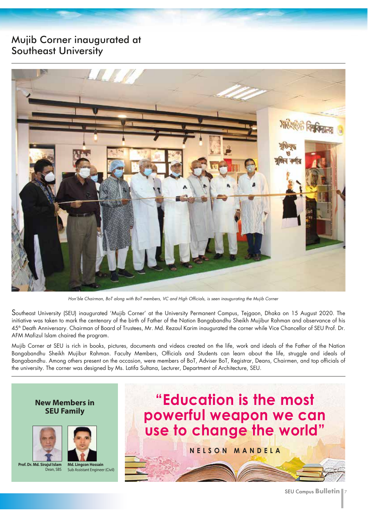#### Mujib Corner inaugurated at Southeast University



Hon'ble Chairman, BoT along with BoT members, VC and High Officials, is seen inaugurating the Mujib Corner

Southeast University (SEU) inaugurated 'Mujib Corner' at the University Permanent Campus, Tejgaon, Dhaka on 15 August 2020. The initiative was taken to mark the centenary of the birth of Father of the Nation Bangabandhu Sheikh Mujibur Rahman and observance of his 45<sup>th</sup> Death Anniversary. Chairman of Board of Trustees, Mr. Md. Rezaul Karim inaugurated the corner while Vice Chancellor of SEU Prof. Dr. AFM Mafizul Islam chaired the program.

Mujib Corner at SEU is rich in books, pictures, documents and videos created on the life, work and ideals of the Father of the Nation Bangabandhu Sheikh Mujibur Rahman. Faculty Members, Officials and Students can learn about the life, struggle and ideals of Bangabandhu. Among others present on the occasion, were members of BoT, Adviser BoT, Registrar, Deans, Chairmen, and top officials of the university. The corner was designed by Ms. Latifa Sultana, Lecturer, Department of Architecture, SEU.

#### **New Members in SEU Family**





**Prof. Dr. Md. Sirajul Islam** Dean, SBS



# **"Education is the most powerful weapon we can use to change the world" NELSON MANDELA**

SEU Campus **Bulletin** 7